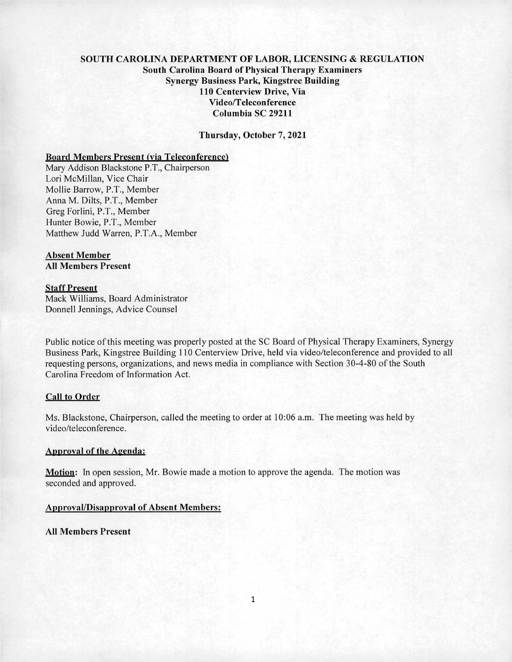# SOUTH CAROLINA DEPARTMENT OF LABOR, LICENSING & REGULATION South Carolina Board of Physical Therapy Examiners Synergy Business Park, Kingstree Building 110 Centerview Drive, Via Video/Teleconference Columbia SC 29211

Thursday, October 7, 2021

## Board Members Present (via Teleconference)

Mary Addison Blackstone P.T., Chairperson Lori McMillan, Vice Chair Mollie Barrow, P.T., Member Anna M. DiIts, P.T., Member Greg Forlini, P.T., Member Hunter Bowie, P.T., Member Matthew Judd Warren, P.T.A., Member

# Absent Member

All Members Present

#### Staff Present

Mack Williams, Board Administrator Donnell Jennings, Advice Counsel

Public notice of this meeting was properly posted at the SC Board of Physical Therapy Examiners, Synergy Business Park, Kingstree Building 110 Centerview Drive, held via video/teleconference and provided to all requesting persons, organizations, and news media in compliance with Section 30-4-80 of the South Carolina Freedom of Information Act.

# Call to Order

Ms. Blackstone, Chairperson, called the meeting to order at 10:06 a.m. The meeting was held by video/teleconference.

#### Approval of the Agenda:

Motion: In open session, Mr. Bowie made a motion to approve the agenda. The motion was seconded and approved.

## Approval/Disapproval of Absent Members:

All Members Present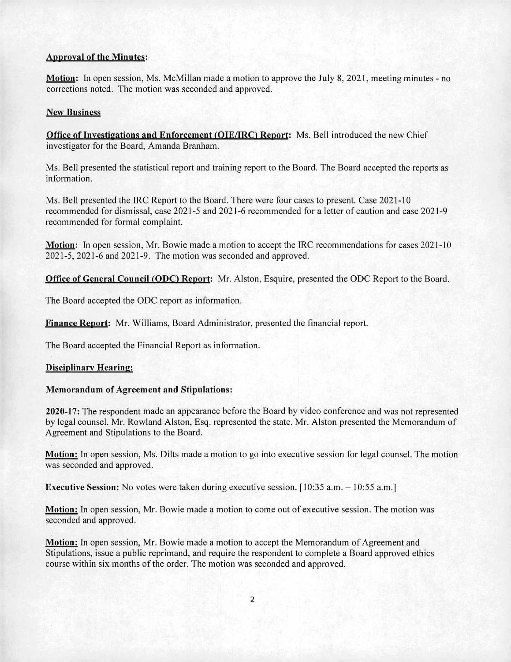## Approval of the Minutes:

Motion: In open session, Ms. McMillan made a motion to approve the July 8, 2021, meeting minutes - no corrections noted. The motion was seconded and approved.

## New Business

**Office of Investigations and Enforcement (OIE/IRC) Report:** Ms. Bell introduced the new Chief investigator for the Board, Amanda Branham.

Ms. Bell presented the statistical report and training report to the Board. The Board accepted the reports as information.

Ms. Bell presented the IRC Report to the Board. There were four cases to present. Case 2021-10 recommended for dismissal, case 2021-5 and 2021-6 recommended for a letter of caution and case 2021-9 recommended for formal complaint.

Motion: In open session, Mr. Bowie made a motion to accept the IRC recommendations for cases 2021-10 2021-5, 2021-6 and 2021-9. The motion was seconded and approved.

Office of General Council (ODC) Report: Mr. Alston, Esquire, presented the ODC Report to the Board.

The Board accepted the ODC report as information.

**Finance Report:** Mr. Williams, Board Administrator, presented the financial report.

The Board accepted the Financial Report as information.

## **Disciplinary Hearing:**

## **Memorandum of Agreement and Stipulations:**

**2020-17:** The respondent made an appearance before the Board by video conference and was not represented by legal counsel. Mr. Rowland Alston, Esq. represented the state. Mr. Alston presented the Memorandum of Agreement and Stipulations to the Board.

**Motion:** In open session, Ms. Dilts made a motion to go into executive session for legal counsel. The motion was seconded and approved.

**Executive Session:** No votes were taken during executive session. [10:35 a.m. – 10:55 a.m.]

**Motion:** In open session, Mr. Bowie made a motion to come out of executive session. The motion was seconded and approved.

**Motion:** In open session, Mr. Bowie made a motion to accept the Memorandum of Agreement and Stipulations, issue a public reprimand, and require the respondent to complete a Board approved ethics course within six months of the order. The motion was seconded and approved.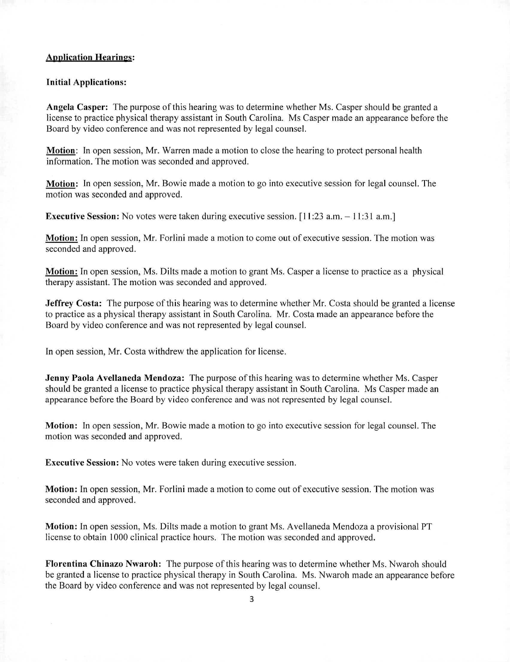## **Application Hearings:**

#### Initial Applications:

Angela Casper: The purpose of this hearing was to determine whether Ms. Casper should be granted a license to practice physical therapy assistant in South Carolina. Ms Casper made an appearance before the Board by video conference and was not represented by legal counsel.

**Motion:** In open session, Mr. Warren made a motion to close the hearing to protect personal health information. The motion was seconded and approved.

**Motion:** In open session, Mr. Bowie made a motion to go into executive session for legal counsel. The motion was seconded and approved.

**Executive Session:** No votes were taken during executive session. [11:23 a.m. — 11:31 a.m.]

**Motion:** In open session, Mr. Forlini made a motion to come out of executive session. The motion was seconded and approved.

**Motion:** In open session, Ms. Dilts made a motion to grant Ms. Casper a license to practice as a physical therapy assistant. The motion was seconded and approved.

**Jeffrey Costa:** The purpose of this hearing was to determine whether Mr. Costa should be granted a license to practice as a physical therapy assistant in South Carolina. Mr. Costa made an appearance before the Board by video conference and was not represented by legal counsel.

In open session, Mr. Costa withdrew the application for license.

**Jenny Paola Avellaneda Mendoza:** The purpose of this hearing was to determine whether Ms. Casper should be granted a license to practice physical therapy assistant in South Carolina. Ms Casper made an appearance before the Board by video conference and was not represented by legal counsel.

**Motion:** In open session, Mr. Bowie made a motion to go into executive session for legal counsel. The motion was seconded and approved.

**Executive Session:** No votes were taken during executive session.

**Motion:** In open session, Mr. Forlini made a motion to come out of executive session. The motion was seconded and approved.

**Motion:** In open session, Ms. Dilts made a motion to grant Ms. Avellaneda Mendoza a provisional PT license to obtain 1000 clinical practice hours. The motion was seconded and approved.

**Florentina Chinazo Nwaroh:** The purpose of this hearing was to determine whether Ms. Nwaroh should be granted a license to practice physical therapy in South Carolina. Ms. Nwaroh made an appearance before the Board by video conference and was not represented by legal counsel.